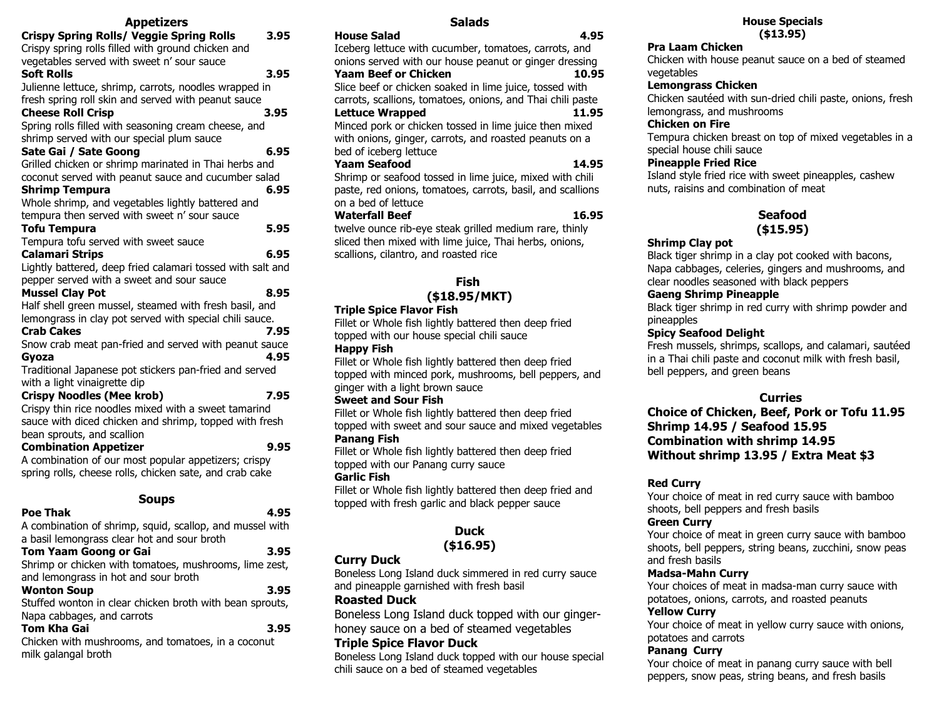# **Appetizers**

| <b>Appetizers</b>                                                                |      |  |
|----------------------------------------------------------------------------------|------|--|
| <b>Crispy Spring Rolls/ Veggie Spring Rolls</b>                                  | 3.95 |  |
| Crispy spring rolls filled with ground chicken and                               |      |  |
| vegetables served with sweet n' sour sauce                                       |      |  |
| <b>Soft Rolls</b>                                                                | 3.95 |  |
| Julienne lettuce, shrimp, carrots, noodles wrapped in                            |      |  |
| fresh spring roll skin and served with peanut sauce                              |      |  |
| <b>Cheese Roll Crisp</b>                                                         | 3.95 |  |
| Spring rolls filled with seasoning cream cheese, and                             |      |  |
| shrimp served with our special plum sauce                                        |      |  |
| Sate Gai / Sate Goong                                                            | 6.95 |  |
| Grilled chicken or shrimp marinated in Thai herbs and                            |      |  |
| coconut served with peanut sauce and cucumber salad                              |      |  |
| <b>Shrimp Tempura</b>                                                            | 6.95 |  |
| Whole shrimp, and vegetables lightly battered and                                |      |  |
| tempura then served with sweet n' sour sauce                                     |      |  |
| <b>Tofu Tempura</b>                                                              | 5.95 |  |
| Tempura tofu served with sweet sauce                                             |      |  |
| <b>Calamari Strips</b>                                                           | 6.95 |  |
| Lightly battered, deep fried calamari tossed with salt and                       |      |  |
| pepper served with a sweet and sour sauce                                        | 8.95 |  |
| <b>Mussel Clay Pot</b><br>Half shell green mussel, steamed with fresh basil, and |      |  |
| lemongrass in clay pot served with special chili sauce.                          |      |  |
| <b>Crab Cakes</b>                                                                | 7.95 |  |
| Snow crab meat pan-fried and served with peanut sauce                            |      |  |
| Gyoza                                                                            | 4.95 |  |
| Traditional Japanese pot stickers pan-fried and served                           |      |  |
| with a light vinaigrette dip                                                     |      |  |
| <b>Crispy Noodles (Mee krob)</b>                                                 | 7.95 |  |
| Crispy thin rice noodles mixed with a sweet tamarind                             |      |  |
| sauce with diced chicken and shrimp, topped with fresh                           |      |  |
| bean sprouts, and scallion                                                       |      |  |
| <b>Combination Appetizer</b>                                                     | 9.95 |  |
| A combination of our most popular appetizers; crispy                             |      |  |
| spring rolls, cheese rolls, chicken sate, and crab cake                          |      |  |
| Soups                                                                            |      |  |
| <b>Poe Thak</b>                                                                  | 4.95 |  |
|                                                                                  |      |  |

A combination of shrimp, squid, scallop, and mussel with a basil lemongrass clear hot and sour broth

| <b>Tom Yaam Goong or Gai</b><br>3.95                     |  |
|----------------------------------------------------------|--|
| Shrimp or chicken with tomatoes, mushrooms, lime zest,   |  |
| and lemongrass in hot and sour broth                     |  |
| <b>Wonton Soup</b><br>3.95                               |  |
| Stuffed wonton in clear chicken broth with bean sprouts, |  |
| Napa cabbages, and carrots                               |  |
| <b>Tom Kha Gai</b><br>3.95                               |  |
| Chicken with mushrooms, and tomatoes, in a coconut       |  |
| milk galangal broth                                      |  |

**Salads**

| <b>House Salad</b><br>4.95                                 |
|------------------------------------------------------------|
| Iceberg lettuce with cucumber, tomatoes, carrots, and      |
| onions served with our house peanut or ginger dressing     |
| <b>Yaam Beef or Chicken</b><br>10.95                       |
| Slice beef or chicken soaked in lime juice, tossed with    |
| carrots, scallions, tomatoes, onions, and Thai chili paste |
| <b>Lettuce Wrapped</b><br>11.95                            |
| Minced pork or chicken tossed in lime juice then mixed     |
| with onions, ginger, carrots, and roasted peanuts on a     |
| bed of iceberg lettuce                                     |
| Yaam Seafood<br>14.95                                      |
| Shrimp or seafood tossed in lime juice, mixed with chili   |
| paste, red onions, tomatoes, carrots, basil, and scallions |
| on a bed of lettuce                                        |
| <b>Waterfall Beef</b><br>16.95                             |
| twelve ounce rib-eye steak grilled medium rare, thinly     |
| sliced then mixed with lime juice, Thai herbs, onions,     |
| scallions, cilantro, and roasted rice                      |
|                                                            |
|                                                            |

#### **Fish (\$18.95/MKT)**

#### **Triple Spice Flavor Fish**

Fillet or Whole fish lightly battered then deep fried topped with our house special chili sauce

#### **Happy Fish**

Fillet or Whole fish lightly battered then deep fried topped with minced pork, mushrooms, bell peppers, and ginger with a light brown sauce

#### **Sweet and Sour Fish**

Fillet or Whole fish lightly battered then deep fried topped with sweet and sour sauce and mixed vegetables **Panang Fish** 

Fillet or Whole fish lightly battered then deep fried topped with our Panang curry sauce

#### **Garlic Fish**

Fillet or Whole fish lightly battered then deep fried and topped with fresh garlic and black pepper sauce

## **Duck (\$16.95)**

#### **Curry Duck**

Boneless Long Island duck simmered in red curry sauce and pineapple garnished with fresh basil

#### **Roasted Duck**

Boneless Long Island duck topped with our gingerhoney sauce on a bed of steamed vegetables

#### **Triple Spice Flavor Duck**

Boneless Long Island duck topped with our house special chili sauce on a bed of steamed vegetables

#### **House Specials (\$13.95)**

#### **Pra Laam Chicken**

Chicken with house peanut sauce on a bed of steamed vegetables

#### **Lemongrass Chicken**

Chicken sautéed with sun-dried chili paste, onions, fresh lemongrass, and mushrooms

## **Chicken on Fire**

Tempura chicken breast on top of mixed vegetables in a special house chili sauce

#### **Pineapple Fried Rice**

Island style fried rice with sweet pineapples, cashew nuts, raisins and combination of meat

# **Seafood**

# **(\$15.95)**

## **Shrimp Clay pot**

Black tiger shrimp in a clay pot cooked with bacons, Napa cabbages, celeries, gingers and mushrooms, and clear noodles seasoned with black peppers

## **Gaeng Shrimp Pineapple**

Black tiger shrimp in red curry with shrimp powder and pineapples

#### **Spicy Seafood Delight**

Fresh mussels, shrimps, scallops, and calamari, sautéed in a Thai chili paste and coconut milk with fresh basil, bell peppers, and green beans

## **Curries**

**Choice of Chicken, Beef, Pork or Tofu 11.95 Shrimp 14.95 / Seafood 15.95 Combination with shrimp 14.95 Without shrimp 13.95 / Extra Meat \$3**

## **Red Curry**

Your choice of meat in red curry sauce with bamboo shoots, bell peppers and fresh basils

## **Green Curry**

Your choice of meat in green curry sauce with bamboo shoots, bell peppers, string beans, zucchini, snow peas and fresh basils

## **Madsa-Mahn Curry**

Your choices of meat in madsa-man curry sauce with potatoes, onions, carrots, and roasted peanuts

#### **Yellow Curry**

Your choice of meat in yellow curry sauce with onions, potatoes and carrots

#### **Panang Curry**

Your choice of meat in panang curry sauce with bell peppers, snow peas, string beans, and fresh basils